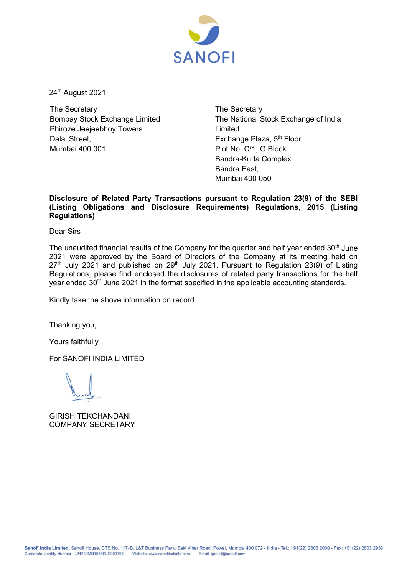

24<sup>th</sup> August 2021

The Secretary Bombay Stock Exchange Limited Phiroze Jeejeebhoy Towers Dalal Street Mumbai 400 001

The Secretary The National Stock Exchange of India Limited Exchange Plaza, 5<sup>th</sup> Floor Plot No. C/1, G Block Bandra-Kurla Complex Bandra East, Mumbai 400 050

# **Disclosure of Related Party Transactions pursuant to Regulation 23(9) of the SEBI (Listing Obligations and Disclosure Requirements) Regulations, 2015 (Listing Regulations)**

Dear Sirs

The unaudited financial results of the Company for the quarter and half year ended  $30<sup>th</sup>$  June 2021 were approved by the Board of Directors of the Company at its meeting held on  $27<sup>th</sup>$  July 2021 and published on 29<sup>th</sup> July 2021. Pursuant to Regulation 23(9) of Listing Regulations, please find enclosed the disclosures of related party transactions for the half year ended 30<sup>th</sup> June 2021 in the format specified in the applicable accounting standards.

Kindly take the above information on record.

Thanking you,

Yours faithfully

For SANOFI INDIA LIMITED

GIRISH TEKCHANDANI COMPANY SECRETARY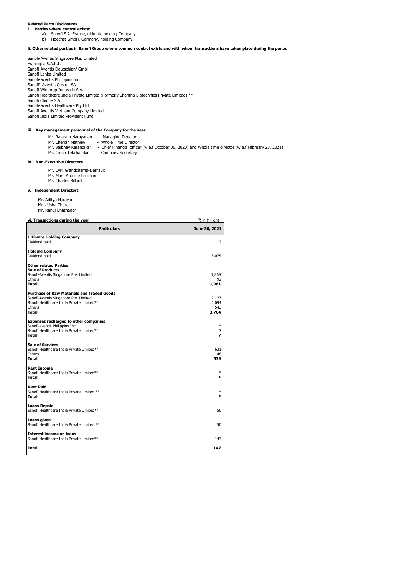# **Related Party Disclosures i. Parties where control exists:**

- a) Sanofi S.A. France, ultimate holding Company
- b) Hoechst GmbH, Germany, holding Company

## **ii. Other related parties in Sanofi Group where common control exists and with whom transactions have taken place during the period.**

Sanofi-Aventis Singapore Pte. Limited Francopia S.A.R.L. Sanofi-Aventis Deutschlanf GmbH Sanofi Lanka Limited Sanofi-aventis Philippins Inc. SanofiI-Aventis Geston SA Sanofi Winthrop Industrie S.A. Sanofi Healthcare India Private Limited (Formerly Shantha Biotechnics Private Limited) \*\* Sanofi Chimie S.A Sanofi-aventis Healthcare Pty Ltd Sanofi-Aventis Vietnam Company Limited Sanofi India Limited Provident Fund

### **iii. Key management personnel of the Company for the year**

- 
- 
- Mr. Rajaram Narayanan Managing Director<br>Mr. Cherian Mathew - Whole Time Director<br>Mr. Vaibhav Karandikar Chief Financial officer (w.e.f October 06, 2020) and Whole time director (w.e.f February 23, 2
- Mr. Girish Tekchandani Company Secretary

### **iv. Non-Executive Directors**

- Mr. Cyril Grandchamp-Desraux
- Mr. Marc-Antoine Lucchini Mr. Charles Billard

## **v. Independent Directors**

 Mr. Aditya Narayan Mrs. Usha Thorat Mr. Rahul Bhatnagar

### **vi. Transactions during the year** (₹ in Million)

| <b>Particulars</b>                                                                                                                                         | June 30, 2021                  |  |
|------------------------------------------------------------------------------------------------------------------------------------------------------------|--------------------------------|--|
| <b>Ultimate Holding Company</b><br>Dividend paid                                                                                                           | $\overline{2}$                 |  |
| <b>Holding Company</b><br>Dividend paid                                                                                                                    | 5,075                          |  |
| <b>Other related Parties</b><br><b>Sale of Products</b><br>Sanofi-Aventis Singapore Pte. Limited                                                           | 1.869                          |  |
| <b>Others</b><br><b>Total</b>                                                                                                                              | 92<br>1,961                    |  |
| <b>Purchase of Raw Materials and Traded Goods</b><br>Sanofi-Aventis Singapore Pte. Limited<br>Sanofi Healthcare India Private Limited**<br>Others<br>Total | 2.127<br>1.094<br>543<br>3,764 |  |
| <b>Expenses recharged to other companies</b><br>Sanofi-aventis Philippins Inc.<br>Sanofi Healthcare India Private Limited**<br><b>Total</b>                | $\ast$<br>7<br>7               |  |
| <b>Sale of Services</b><br>Sanofi Healthcare India Private Limited**<br>Others<br><b>Total</b>                                                             | 631<br>48<br>679               |  |
| <b>Rent Income</b><br>Sanofi Healthcare India Private Limited**<br><b>Total</b>                                                                            | *<br>$\ast$                    |  |
| <b>Rent Paid</b><br>Sanofi Healthcare India Private Limited **<br>Total                                                                                    | $\ast$<br>×                    |  |
| <b>Loans Repaid</b><br>Sanofi Healthcare India Private Limited**                                                                                           | 50                             |  |
| Loans given<br>Sanofi Healthcare India Private Limited **                                                                                                  | 50                             |  |
| <b>Interest income on loans</b><br>Sanofi Healthcare India Private Limited**                                                                               | 147                            |  |
| <b>Total</b>                                                                                                                                               | 147                            |  |